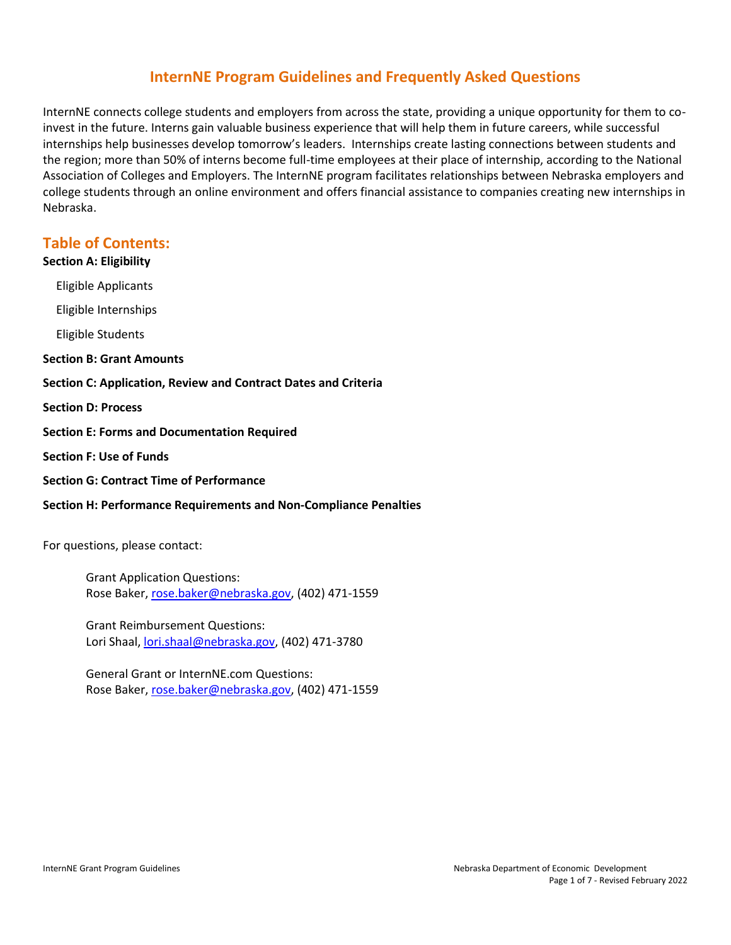# **InternNE Program Guidelines and Frequently Asked Questions**

InternNE connects college students and employers from across the state, providing a unique opportunity for them to coinvest in the future. Interns gain valuable business experience that will help them in future careers, while successful internships help businesses develop tomorrow's leaders. Internships create lasting connections between students and the region; more than 50% of interns become full-time employees at their place of internship, according to the National Association of Colleges and Employers. The InternNE program facilitates relationships between Nebraska employers and college students through an online environment and offers financial assistance to companies creating new internships in Nebraska.

# **Table of Contents:**

# **[Section A: Eligibility](#page-0-0)**

[Eligible Applicants](#page-1-0)

[Eligible Internships](#page-1-1)

[Eligible Students](#page-2-0)

#### **[Section B: Grant Amounts](#page-2-1)**

**[Section C: Application, Review and Contract Dates and Criteria](#page-2-2)**

**[Section D: Process](#page-3-0)**

- **[Section E: Forms and Documentation Required](#page-5-0)**
- **[Section F: Use of Funds](#page-5-1)**
- **[Section G: Contract Time of Performance](#page-5-2)**

# **[Section H: Performance Requirements](#page-6-0) and Non-Compliance Penalties**

For questions, please contact:

Grant Application Questions: Rose Baker, [rose.baker@nebraska.gov,](mailto:rose.baker@nebraska.gov) (402) 471-1559

Grant Reimbursement Questions: Lori Shaal[, lori.shaal@nebraska.gov,](mailto:lori.shaal@nebraska.gov) (402) 471-3780

<span id="page-0-0"></span>General Grant or InternNE.com Questions: Rose Baker, [rose.baker@nebraska.gov,](mailto:rose.baker@nebraska.gov) (402) 471-1559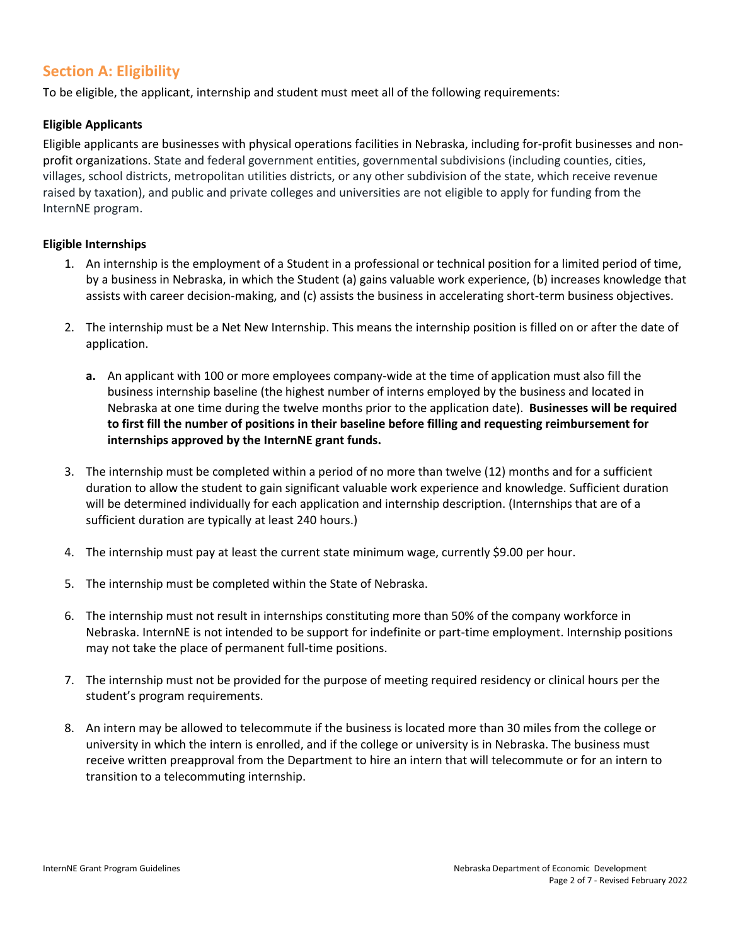# **Section A: Eligibility**

To be eligible, the applicant, internship and student must meet all of the following requirements:

# <span id="page-1-0"></span>**Eligible Applicants**

Eligible applicants are businesses with physical operations facilities in Nebraska, including for-profit businesses and nonprofit organizations. State and federal government entities, governmental subdivisions (including counties, cities, villages, school districts, metropolitan utilities districts, or any other subdivision of the state, which receive revenue raised by taxation), and public and private colleges and universities are not eligible to apply for funding from the InternNE program.

# <span id="page-1-1"></span>**Eligible Internships**

- 1. An internship is the employment of a Student in a professional or technical position for a limited period of time, by a business in Nebraska, in which the Student (a) gains valuable work experience, (b) increases knowledge that assists with career decision-making, and (c) assists the business in accelerating short-term business objectives.
- 2. The internship must be a Net New Internship. This means the internship position is filled on or after the date of application.
	- **a.** An applicant with 100 or more employees company-wide at the time of application must also fill the business internship baseline (the highest number of interns employed by the business and located in Nebraska at one time during the twelve months prior to the application date). **Businesses will be required to first fill the number of positions in their baseline before filling and requesting reimbursement for internships approved by the InternNE grant funds.**
- 3. The internship must be completed within a period of no more than twelve (12) months and for a sufficient duration to allow the student to gain significant valuable work experience and knowledge. Sufficient duration will be determined individually for each application and internship description. (Internships that are of a sufficient duration are typically at least 240 hours.)
- 4. The internship must pay at least the current state minimum wage, currently \$9.00 per hour.
- 5. The internship must be completed within the State of Nebraska.
- 6. The internship must not result in internships constituting more than 50% of the company workforce in Nebraska. InternNE is not intended to be support for indefinite or part-time employment. Internship positions may not take the place of permanent full-time positions.
- 7. The internship must not be provided for the purpose of meeting required residency or clinical hours per the student's program requirements.
- 8. An intern may be allowed to telecommute if the business is located more than 30 miles from the college or university in which the intern is enrolled, and if the college or university is in Nebraska. The business must receive written preapproval from the Department to hire an intern that will telecommute or for an intern to transition to a telecommuting internship.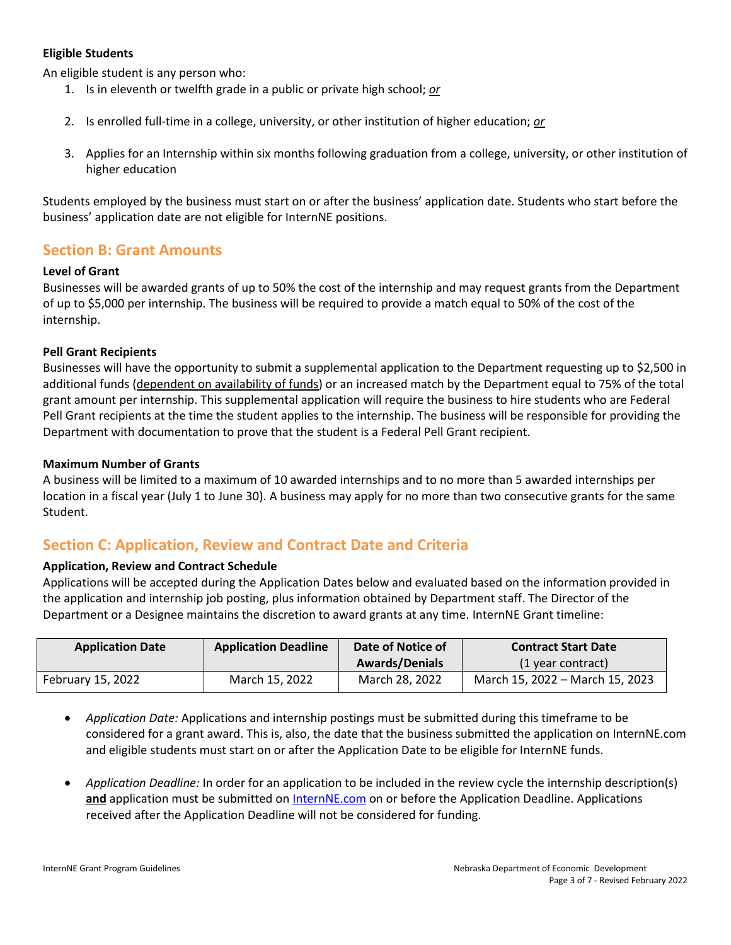### <span id="page-2-0"></span>**Eligible Students**

An eligible student is any person who:

- 1. Is in eleventh or twelfth grade in a public or private high school; *or*
- 2. Is enrolled full-time in a college, university, or other institution of higher education; *or*
- 3. Applies for an Internship within six months following graduation from a college, university, or other institution of higher education

Students employed by the business must start on or after the business' application date. Students who start before the business' application date are not eligible for InternNE positions.

# <span id="page-2-1"></span>**Section B: Grant Amounts**

### **Level of Grant**

Businesses will be awarded grants of up to 50% the cost of the internship and may request grants from the Department of up to \$5,000 per internship. The business will be required to provide a match equal to 50% of the cost of the internship.

### **Pell Grant Recipients**

Businesses will have the opportunity to submit a supplemental application to the Department requesting up to \$2,500 in additional funds (dependent on availability of funds) or an increased match by the Department equal to 75% of the total grant amount per internship. This supplemental application will require the business to hire students who are Federal Pell Grant recipients at the time the student applies to the internship. The business will be responsible for providing the Department with documentation to prove that the student is a Federal Pell Grant recipient.

#### **Maximum Number of Grants**

<span id="page-2-2"></span>A business will be limited to a maximum of 10 awarded internships and to no more than 5 awarded internships per location in a fiscal year (July 1 to June 30). A business may apply for no more than two consecutive grants for the same Student.

# **Section C: Application, Review and Contract Date and Criteria**

#### **Application, Review and Contract Schedule**

Applications will be accepted during the Application Dates below and evaluated based on the information provided in the application and internship job posting, plus information obtained by Department staff. The Director of the Department or a Designee maintains the discretion to award grants at any time. InternNE Grant timeline:

| <b>Application Date</b> | <b>Application Deadline</b> | Date of Notice of     | <b>Contract Start Date</b>      |
|-------------------------|-----------------------------|-----------------------|---------------------------------|
|                         |                             | <b>Awards/Denials</b> | (1 year contract)               |
| February 15, 2022       | March 15, 2022              | March 28, 2022        | March 15, 2022 – March 15, 2023 |

- *Application Date:* Applications and internship postings must be submitted during this timeframe to be considered for a grant award. This is, also, the date that the business submitted the application on InternNE.com and eligible students must start on or after the Application Date to be eligible for InternNE funds.
- *Application Deadline:* In order for an application to be included in the review cycle the internship description(s) **and** application must be submitted on [InternNE.com](https://www.internne.com/) on or before the Application Deadline. Applications received after the Application Deadline will not be considered for funding.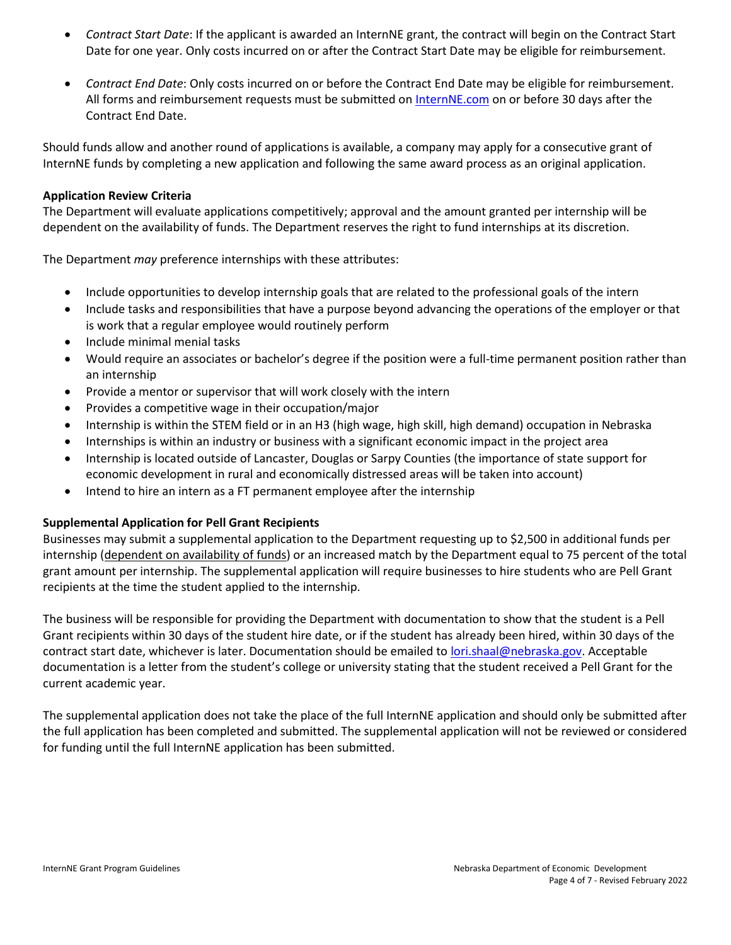- *Contract Start Date*: If the applicant is awarded an InternNE grant, the contract will begin on the Contract Start Date for one year. Only costs incurred on or after the Contract Start Date may be eligible for reimbursement.
- *Contract End Date*: Only costs incurred on or before the Contract End Date may be eligible for reimbursement. All forms and reimbursement requests must be submitted on [InternNE.com](https://www.internne.com/) on or before 30 days after the Contract End Date.

Should funds allow and another round of applications is available, a company may apply for a consecutive grant of InternNE funds by completing a new application and following the same award process as an original application.

### **Application Review Criteria**

The Department will evaluate applications competitively; approval and the amount granted per internship will be dependent on the availability of funds. The Department reserves the right to fund internships at its discretion.

The Department *may* preference internships with these attributes:

- Include opportunities to develop internship goals that are related to the professional goals of the intern
- Include tasks and responsibilities that have a purpose beyond advancing the operations of the employer or that is work that a regular employee would routinely perform
- Include minimal menial tasks
- Would require an associates or bachelor's degree if the position were a full-time permanent position rather than an internship
- Provide a mentor or supervisor that will work closely with the intern
- Provides a competitive wage in their occupation/major
- Internship is within the STEM field or in an H3 (high wage, high skill, high demand) occupation in Nebraska
- Internships is within an industry or business with a significant economic impact in the project area
- Internship is located outside of Lancaster, Douglas or Sarpy Counties (the importance of state support for economic development in rural and economically distressed areas will be taken into account)
- Intend to hire an intern as a FT permanent employee after the internship

#### **Supplemental Application for Pell Grant Recipients**

Businesses may submit a supplemental application to the Department requesting up to \$2,500 in additional funds per internship (dependent on availability of funds) or an increased match by the Department equal to 75 percent of the total grant amount per internship. The supplemental application will require businesses to hire students who are Pell Grant recipients at the time the student applied to the internship.

The business will be responsible for providing the Department with documentation to show that the student is a Pell Grant recipients within 30 days of the student hire date, or if the student has already been hired, within 30 days of the contract start date, whichever is later. Documentation should be emailed to [lori.shaal@nebraska.gov.](mailto:lori.shaal@nebraska.gov) Acceptable documentation is a letter from the student's college or university stating that the student received a Pell Grant for the current academic year.

<span id="page-3-0"></span>The supplemental application does not take the place of the full InternNE application and should only be submitted after the full application has been completed and submitted. The supplemental application will not be reviewed or considered for funding until the full InternNE application has been submitted.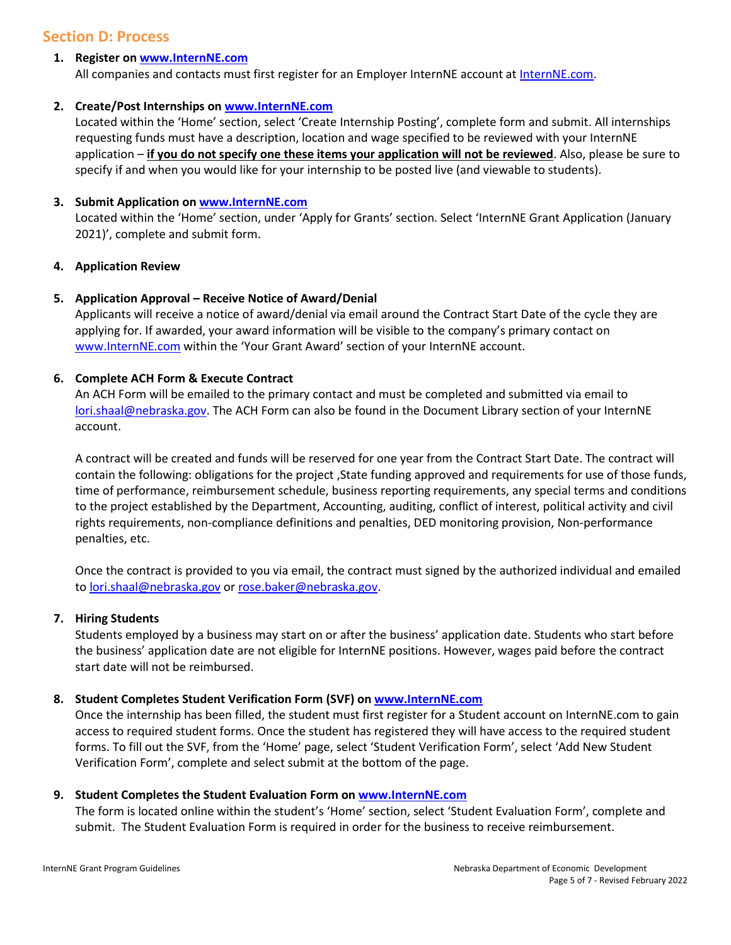# **Section D: Process**

# **1. Register on [www.InternNE.com](http://www.internne.com/)**

All companies and contacts must first register for an Employer InternNE account at [InternNE.com.](https://www.internne.com/)

# **2. Create/Post Internships on [www.InternNE.com](http://www.internne.com/)**

Located within the 'Home' section, select 'Create Internship Posting', complete form and submit. All internships requesting funds must have a description, location and wage specified to be reviewed with your InternNE application – **if you do not specify one these items your application will not be reviewed**. Also, please be sure to specify if and when you would like for your internship to be posted live (and viewable to students).

# **3. Submit Application on [www.InternNE.com](http://www.internne.com/)**

Located within the 'Home' section, under 'Apply for Grants' section. Select 'InternNE Grant Application (January 2021)', complete and submit form.

# **4. Application Review**

# **5. Application Approval – Receive Notice of Award/Denial**

Applicants will receive a notice of award/denial via email around the Contract Start Date of the cycle they are applying for. If awarded, your award information will be visible to the company's primary contact on [www.InternNE.com](http://www.internne.com/) within the 'Your Grant Award' section of your InternNE account.

# **6. Complete ACH Form & Execute Contract**

An ACH Form will be emailed to the primary contact and must be completed and submitted via email to [lori.shaal@nebraska.gov.](mailto:lori.shaal@nebraska.gov) The ACH Form can also be found in the Document Library section of your InternNE account.

A contract will be created and funds will be reserved for one year from the Contract Start Date. The contract will contain the following: obligations for the project ,State funding approved and requirements for use of those funds, time of performance, reimbursement schedule, business reporting requirements, any special terms and conditions to the project established by the Department, Accounting, auditing, conflict of interest, political activity and civil rights requirements, non-compliance definitions and penalties, DED monitoring provision, Non-performance penalties, etc.

Once the contract is provided to you via email, the contract must signed by the authorized individual and emailed to [lori.shaal@nebraska.gov](mailto:lori.shaal@nebraska.gov) o[r rose.baker@nebraska.gov.](mailto:rose.baker@nebraska.gov)

# **7. Hiring Students**

Students employed by a business may start on or after the business' application date. Students who start before the business' application date are not eligible for InternNE positions. However, wages paid before the contract start date will not be reimbursed.

# **8. Student Completes Student Verification Form (SVF) o[n www.InternNE.com](http://www.internne.com/)**

Once the internship has been filled, the student must first register for a Student account on InternNE.com to gain access to required student forms. Once the student has registered they will have access to the required student forms. To fill out the SVF, from the 'Home' page, select 'Student Verification Form', select 'Add New Student Verification Form', complete and select submit at the bottom of the page.

# **9. Student Completes the Student Evaluation Form on [www.InternNE.com](http://www.internne.com/)**

The form is located online within the student's 'Home' section, select 'Student Evaluation Form', complete and submit. The Student Evaluation Form is required in order for the business to receive reimbursement.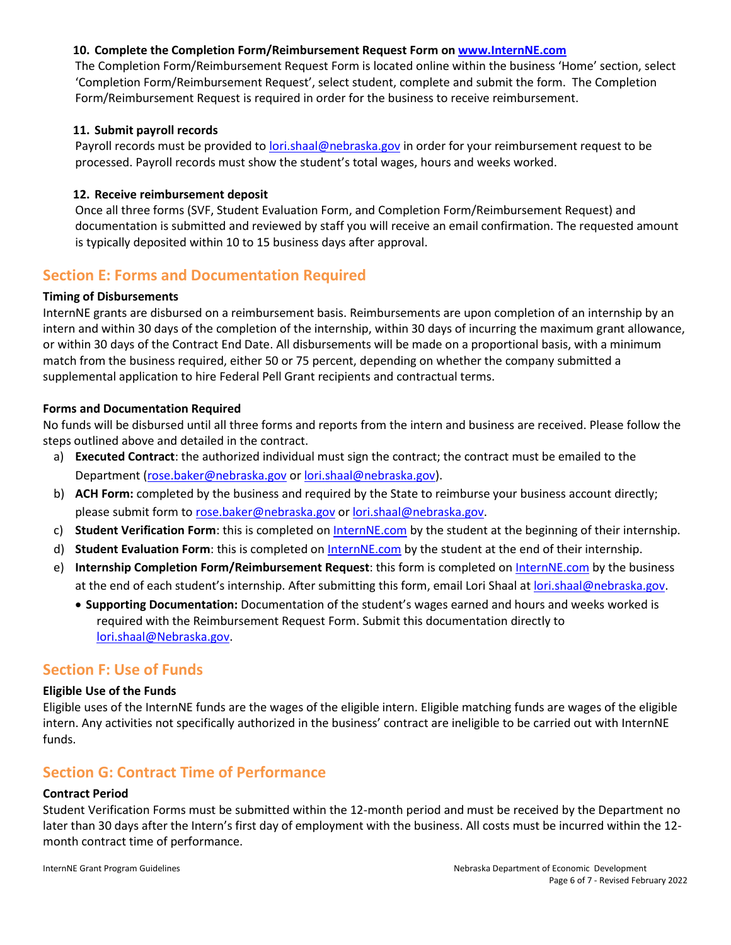# **10. Complete the Completion Form/Reimbursement Request Form on [www.InternNE.com](http://www.internne.com/)**

The Completion Form/Reimbursement Request Form is located online within the business 'Home' section, select 'Completion Form/Reimbursement Request', select student, complete and submit the form. The Completion Form/Reimbursement Request is required in order for the business to receive reimbursement.

### **11. Submit payroll records**

Payroll records must be provided t[o lori.shaal@nebraska.gov](mailto:lori.shaal@nebraska.gov) in order for your reimbursement request to be processed. Payroll records must show the student's total wages, hours and weeks worked.

### **12. Receive reimbursement deposit**

Once all three forms (SVF, Student Evaluation Form, and Completion Form/Reimbursement Request) and documentation is submitted and reviewed by staff you will receive an email confirmation. The requested amount is typically deposited within 10 to 15 business days after approval.

# <span id="page-5-0"></span>**Section E: Forms and Documentation Required**

### **Timing of Disbursements**

InternNE grants are disbursed on a reimbursement basis. Reimbursements are upon completion of an internship by an intern and within 30 days of the completion of the internship, within 30 days of incurring the maximum grant allowance, or within 30 days of the Contract End Date. All disbursements will be made on a proportional basis, with a minimum match from the business required, either 50 or 75 percent, depending on whether the company submitted a supplemental application to hire Federal Pell Grant recipients and contractual terms.

### **Forms and Documentation Required**

No funds will be disbursed until all three forms and reports from the intern and business are received. Please follow the steps outlined above and detailed in the contract.

- a) **Executed Contract**: the authorized individual must sign the contract; the contract must be emailed to the Department [\(rose.baker@nebraska.gov](mailto:rose.baker@nebraska.gov) or [lori.shaal@nebraska.gov\)](mailto:lori.shaal@nebraska.gov).
- b) **ACH Form:** completed by the business and required by the State to reimburse your business account directly; please submit form to [rose.baker@nebraska.gov](mailto:rose.baker@nebraska.gov) or [lori.shaal@nebraska.gov.](mailto:lori.shaal@nebraska.gov)
- c) **Student Verification Form**: this is completed on [InternNE.com](http://www.internne.com/) by the student at the beginning of their internship.
- d) **Student Evaluation Form**: this is completed on [InternNE.com](http://www.internne.com/) by the student at the end of their internship.
- e) **Internship Completion Form/Reimbursement Request**: this form is completed on [InternNE.com](http://www.internne.com/) by the business at the end of each student's internship. After submitting this form, email Lori Shaal at [lori.shaal@nebraska.gov.](mailto:lori.shaal@nebraska.gov)
	- **Supporting Documentation:** Documentation of the student's wages earned and hours and weeks worked is required with the Reimbursement Request Form. Submit this documentation directly to [lori.shaal@Nebraska.gov.](mailto:lori.shaal@Nebraska.gov)

# <span id="page-5-1"></span>**Section F: Use of Funds**

#### **Eligible Use of the Funds**

<span id="page-5-2"></span>Eligible uses of the InternNE funds are the wages of the eligible intern. Eligible matching funds are wages of the eligible intern. Any activities not specifically authorized in the business' contract are ineligible to be carried out with InternNE funds.

# **Section G: Contract Time of Performance**

# **Contract Period**

Student Verification Forms must be submitted within the 12-month period and must be received by the Department no later than 30 days after the Intern's first day of employment with the business. All costs must be incurred within the 12 month contract time of performance.